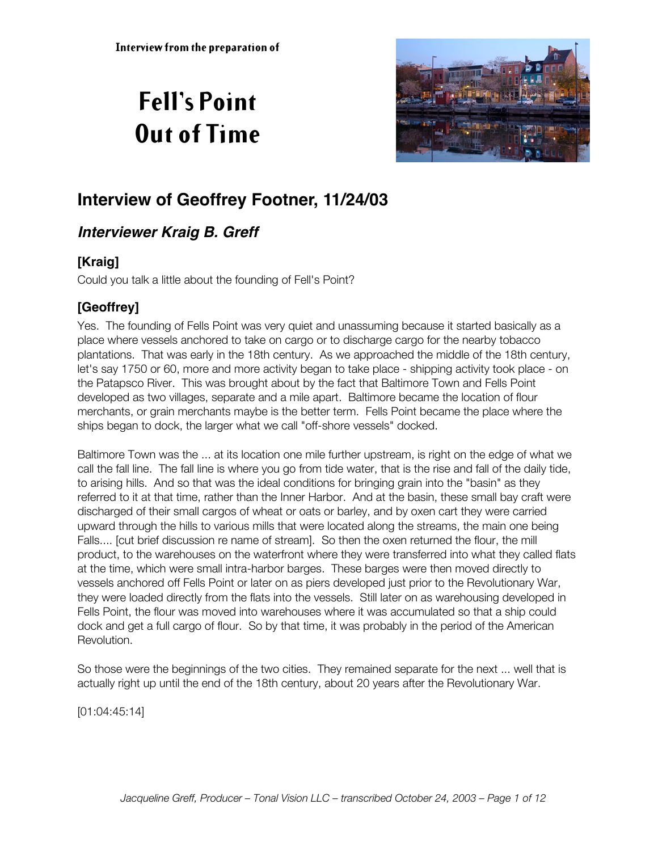# **Fell's Point Out of Time**



## **Interview of Geoffrey Footner, 11/24/03**

## **Interviewer Kraig B. Greff**

#### **[Kraig]**

Could you talk a little about the founding of Fell's Point?

#### **[Geoffrey]**

Yes. The founding of Fells Point was very quiet and unassuming because it started basically as a place where vessels anchored to take on cargo or to discharge cargo for the nearby tobacco plantations. That was early in the 18th century. As we approached the middle of the 18th century, let's say 1750 or 60, more and more activity began to take place - shipping activity took place - on the Patapsco River. This was brought about by the fact that Baltimore Town and Fells Point developed as two villages, separate and a mile apart. Baltimore became the location of flour merchants, or grain merchants maybe is the better term. Fells Point became the place where the ships began to dock, the larger what we call "off-shore vessels" docked.

Baltimore Town was the ... at its location one mile further upstream, is right on the edge of what we call the fall line. The fall line is where you go from tide water, that is the rise and fall of the daily tide, to arising hills. And so that was the ideal conditions for bringing grain into the "basin" as they referred to it at that time, rather than the Inner Harbor. And at the basin, these small bay craft were discharged of their small cargos of wheat or oats or barley, and by oxen cart they were carried upward through the hills to various mills that were located along the streams, the main one being Falls.... [cut brief discussion re name of stream]. So then the oxen returned the flour, the mill product, to the warehouses on the waterfront where they were transferred into what they called flats at the time, which were small intra-harbor barges. These barges were then moved directly to vessels anchored off Fells Point or later on as piers developed just prior to the Revolutionary War, they were loaded directly from the flats into the vessels. Still later on as warehousing developed in Fells Point, the flour was moved into warehouses where it was accumulated so that a ship could dock and get a full cargo of flour. So by that time, it was probably in the period of the American Revolution.

So those were the beginnings of the two cities. They remained separate for the next ... well that is actually right up until the end of the 18th century, about 20 years after the Revolutionary War.

[01:04:45:14]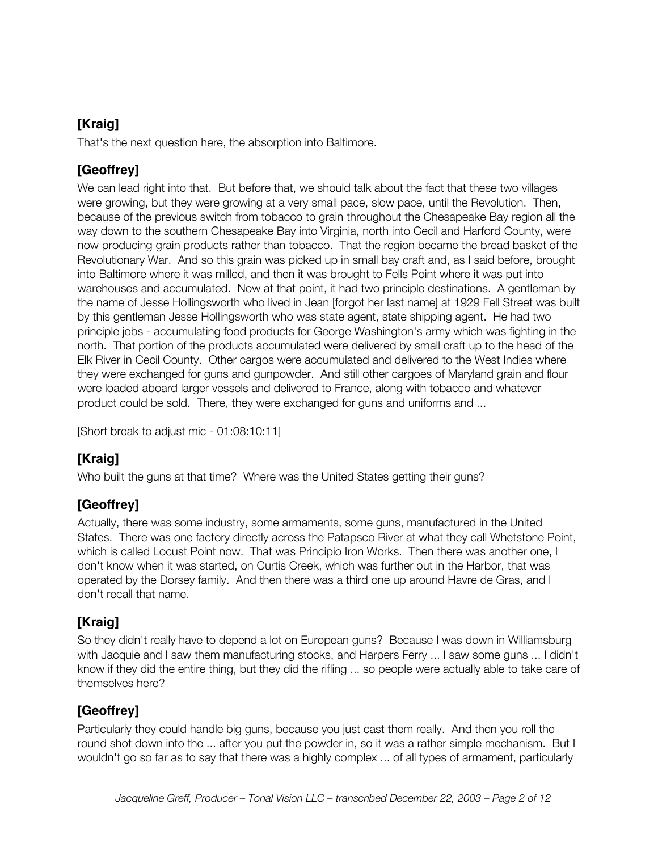#### **[Kraig]**

That's the next question here, the absorption into Baltimore.

#### **[Geoffrey]**

We can lead right into that. But before that, we should talk about the fact that these two villages were growing, but they were growing at a very small pace, slow pace, until the Revolution. Then, because of the previous switch from tobacco to grain throughout the Chesapeake Bay region all the way down to the southern Chesapeake Bay into Virginia, north into Cecil and Harford County, were now producing grain products rather than tobacco. That the region became the bread basket of the Revolutionary War. And so this grain was picked up in small bay craft and, as I said before, brought into Baltimore where it was milled, and then it was brought to Fells Point where it was put into warehouses and accumulated. Now at that point, it had two principle destinations. A gentleman by the name of Jesse Hollingsworth who lived in Jean [forgot her last name] at 1929 Fell Street was built by this gentleman Jesse Hollingsworth who was state agent, state shipping agent. He had two principle jobs - accumulating food products for George Washington's army which was fighting in the north. That portion of the products accumulated were delivered by small craft up to the head of the Elk River in Cecil County. Other cargos were accumulated and delivered to the West Indies where they were exchanged for guns and gunpowder. And still other cargoes of Maryland grain and flour were loaded aboard larger vessels and delivered to France, along with tobacco and whatever product could be sold. There, they were exchanged for guns and uniforms and ...

[Short break to adjust mic - 01:08:10:11]

#### **[Kraig]**

Who built the guns at that time? Where was the United States getting their guns?

#### **[Geoffrey]**

Actually, there was some industry, some armaments, some guns, manufactured in the United States. There was one factory directly across the Patapsco River at what they call Whetstone Point, which is called Locust Point now. That was Principio Iron Works. Then there was another one, I don't know when it was started, on Curtis Creek, which was further out in the Harbor, that was operated by the Dorsey family. And then there was a third one up around Havre de Gras, and I don't recall that name.

#### **[Kraig]**

So they didn't really have to depend a lot on European guns? Because I was down in Williamsburg with Jacquie and I saw them manufacturing stocks, and Harpers Ferry ... I saw some guns ... I didn't know if they did the entire thing, but they did the rifling ... so people were actually able to take care of themselves here?

#### **[Geoffrey]**

Particularly they could handle big guns, because you just cast them really. And then you roll the round shot down into the ... after you put the powder in, so it was a rather simple mechanism. But I wouldn't go so far as to say that there was a highly complex ... of all types of armament, particularly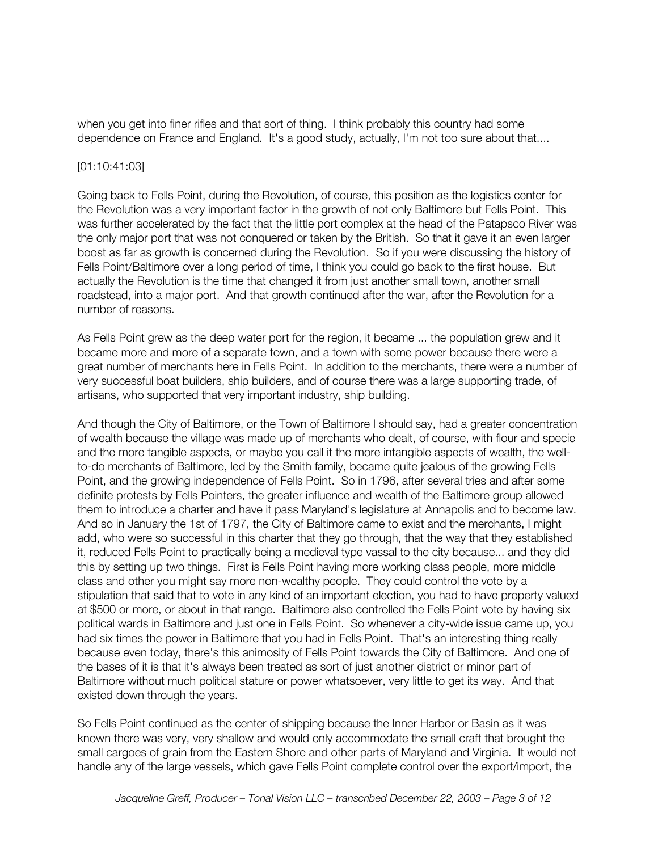when you get into finer rifles and that sort of thing. I think probably this country had some dependence on France and England. It's a good study, actually, I'm not too sure about that....

#### [01:10:41:03]

Going back to Fells Point, during the Revolution, of course, this position as the logistics center for the Revolution was a very important factor in the growth of not only Baltimore but Fells Point. This was further accelerated by the fact that the little port complex at the head of the Patapsco River was the only major port that was not conquered or taken by the British. So that it gave it an even larger boost as far as growth is concerned during the Revolution. So if you were discussing the history of Fells Point/Baltimore over a long period of time, I think you could go back to the first house. But actually the Revolution is the time that changed it from just another small town, another small roadstead, into a major port. And that growth continued after the war, after the Revolution for a number of reasons.

As Fells Point grew as the deep water port for the region, it became ... the population grew and it became more and more of a separate town, and a town with some power because there were a great number of merchants here in Fells Point. In addition to the merchants, there were a number of very successful boat builders, ship builders, and of course there was a large supporting trade, of artisans, who supported that very important industry, ship building.

And though the City of Baltimore, or the Town of Baltimore I should say, had a greater concentration of wealth because the village was made up of merchants who dealt, of course, with flour and specie and the more tangible aspects, or maybe you call it the more intangible aspects of wealth, the wellto-do merchants of Baltimore, led by the Smith family, became quite jealous of the growing Fells Point, and the growing independence of Fells Point. So in 1796, after several tries and after some definite protests by Fells Pointers, the greater influence and wealth of the Baltimore group allowed them to introduce a charter and have it pass Maryland's legislature at Annapolis and to become law. And so in January the 1st of 1797, the City of Baltimore came to exist and the merchants, I might add, who were so successful in this charter that they go through, that the way that they established it, reduced Fells Point to practically being a medieval type vassal to the city because... and they did this by setting up two things. First is Fells Point having more working class people, more middle class and other you might say more non-wealthy people. They could control the vote by a stipulation that said that to vote in any kind of an important election, you had to have property valued at \$500 or more, or about in that range. Baltimore also controlled the Fells Point vote by having six political wards in Baltimore and just one in Fells Point. So whenever a city-wide issue came up, you had six times the power in Baltimore that you had in Fells Point. That's an interesting thing really because even today, there's this animosity of Fells Point towards the City of Baltimore. And one of the bases of it is that it's always been treated as sort of just another district or minor part of Baltimore without much political stature or power whatsoever, very little to get its way. And that existed down through the years.

So Fells Point continued as the center of shipping because the Inner Harbor or Basin as it was known there was very, very shallow and would only accommodate the small craft that brought the small cargoes of grain from the Eastern Shore and other parts of Maryland and Virginia. It would not handle any of the large vessels, which gave Fells Point complete control over the export/import, the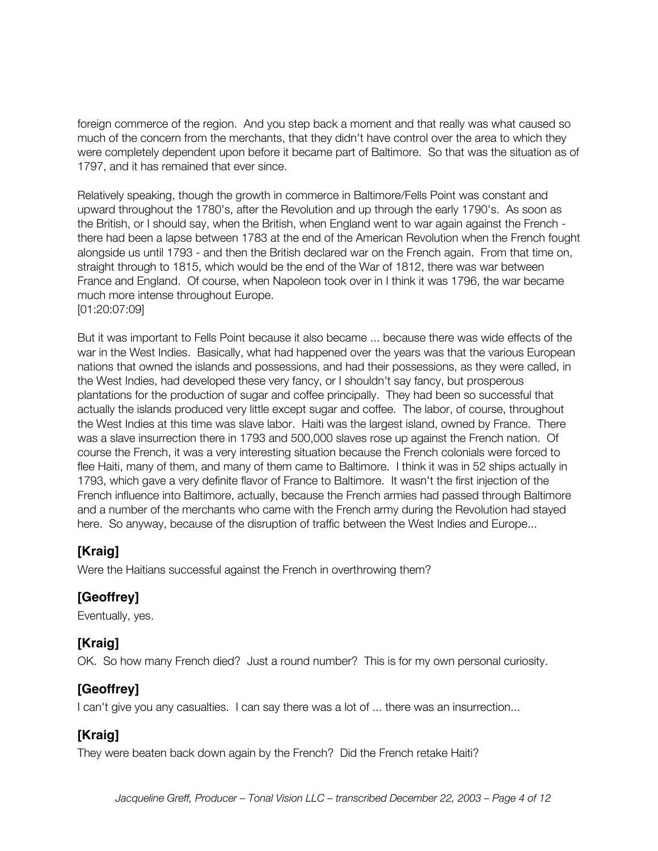foreign commerce of the region. And you step back a moment and that really was what caused so much of the concern from the merchants, that they didn't have control over the area to which they were completely dependent upon before it became part of Baltimore. So that was the situation as of 1797, and it has remained that ever since.

Relatively speaking, though the growth in commerce in Baltimore/Fells Point was constant and upward throughout the 1780's, after the Revolution and up through the early 1790's. As soon as the British, or I should say, when the British, when England went to war again against the French there had been a lapse between 1783 at the end of the American Revolution when the French fought alongside us until 1793 - and then the British declared war on the French again. From that time on, straight through to 1815, which would be the end of the War of 1812, there was war between France and England. Of course, when Napoleon took over in I think it was 1796, the war became much more intense throughout Europe. [01:20:07:09]

But it was important to Fells Point because it also became ... because there was wide effects of the war in the West Indies. Basically, what had happened over the years was that the various European nations that owned the islands and possessions, and had their possessions, as they were called, in the West Indies, had developed these very fancy, or I shouldn't say fancy, but prosperous plantations for the production of sugar and coffee principally. They had been so successful that actually the islands produced very little except sugar and coffee. The labor, of course, throughout the West Indies at this time was slave labor. Haiti was the largest island, owned by France. There was a slave insurrection there in 1793 and 500,000 slaves rose up against the French nation. Of course the French, it was a very interesting situation because the French colonials were forced to flee Haiti, many of them, and many of them came to Baltimore. I think it was in 52 ships actually in 1793, which gave a very definite flavor of France to Baltimore. It wasn't the first injection of the French influence into Baltimore, actually, because the French armies had passed through Baltimore and a number of the merchants who came with the French army during the Revolution had stayed here. So anyway, because of the disruption of traffic between the West Indies and Europe...

#### **[Kraig]**

Were the Haitians successful against the French in overthrowing them?

#### **[Geoffrey]**

Eventually, yes.

#### **[Kraig]**

OK. So how many French died? Just a round number? This is for my own personal curiosity.

#### **[Geoffrey]**

I can't give you any casualties. I can say there was a lot of ... there was an insurrection...

#### **[Kraig]**

They were beaten back down again by the French? Did the French retake Haiti?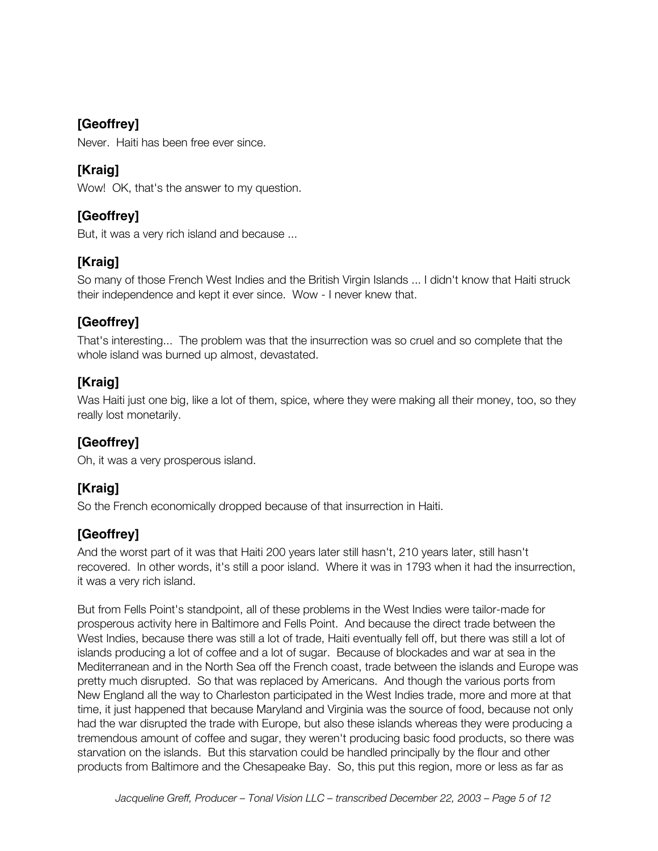#### **[Geoffrey]**

Never. Haiti has been free ever since.

#### **[Kraig]**

Wow! OK, that's the answer to my question.

#### **[Geoffrey]**

But, it was a very rich island and because ...

## **[Kraig]**

So many of those French West Indies and the British Virgin Islands ... I didn't know that Haiti struck their independence and kept it ever since. Wow - I never knew that.

## **[Geoffrey]**

That's interesting... The problem was that the insurrection was so cruel and so complete that the whole island was burned up almost, devastated.

#### **[Kraig]**

Was Haiti just one big, like a lot of them, spice, where they were making all their money, too, so they really lost monetarily.

#### **[Geoffrey]**

Oh, it was a very prosperous island.

#### **[Kraig]**

So the French economically dropped because of that insurrection in Haiti.

#### **[Geoffrey]**

And the worst part of it was that Haiti 200 years later still hasn't, 210 years later, still hasn't recovered. In other words, it's still a poor island. Where it was in 1793 when it had the insurrection, it was a very rich island.

But from Fells Point's standpoint, all of these problems in the West Indies were tailor-made for prosperous activity here in Baltimore and Fells Point. And because the direct trade between the West Indies, because there was still a lot of trade, Haiti eventually fell off, but there was still a lot of islands producing a lot of coffee and a lot of sugar. Because of blockades and war at sea in the Mediterranean and in the North Sea off the French coast, trade between the islands and Europe was pretty much disrupted. So that was replaced by Americans. And though the various ports from New England all the way to Charleston participated in the West Indies trade, more and more at that time, it just happened that because Maryland and Virginia was the source of food, because not only had the war disrupted the trade with Europe, but also these islands whereas they were producing a tremendous amount of coffee and sugar, they weren't producing basic food products, so there was starvation on the islands. But this starvation could be handled principally by the flour and other products from Baltimore and the Chesapeake Bay. So, this put this region, more or less as far as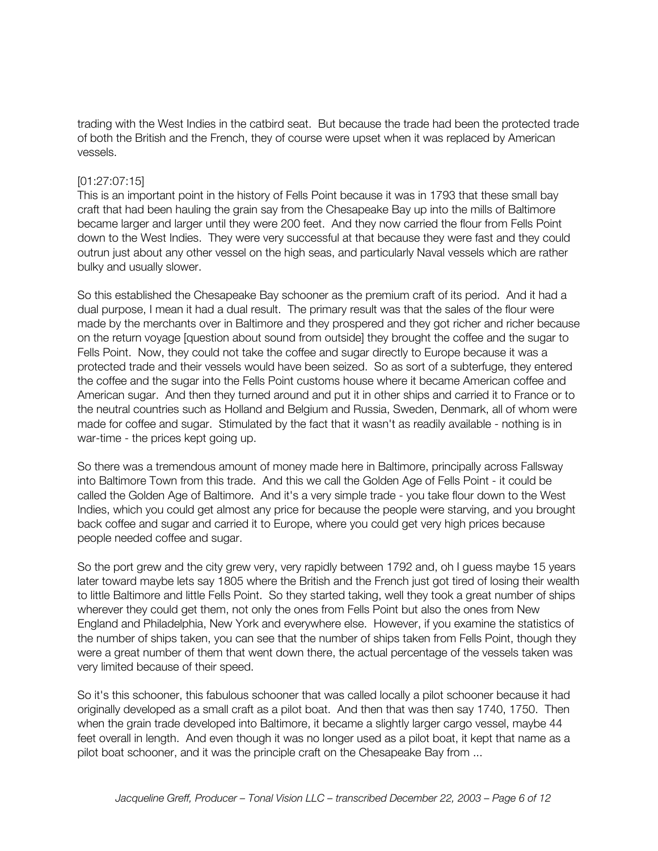trading with the West Indies in the catbird seat. But because the trade had been the protected trade of both the British and the French, they of course were upset when it was replaced by American vessels.

#### [01:27:07:15]

This is an important point in the history of Fells Point because it was in 1793 that these small bay craft that had been hauling the grain say from the Chesapeake Bay up into the mills of Baltimore became larger and larger until they were 200 feet. And they now carried the flour from Fells Point down to the West Indies. They were very successful at that because they were fast and they could outrun just about any other vessel on the high seas, and particularly Naval vessels which are rather bulky and usually slower.

So this established the Chesapeake Bay schooner as the premium craft of its period. And it had a dual purpose, I mean it had a dual result. The primary result was that the sales of the flour were made by the merchants over in Baltimore and they prospered and they got richer and richer because on the return voyage [question about sound from outside] they brought the coffee and the sugar to Fells Point. Now, they could not take the coffee and sugar directly to Europe because it was a protected trade and their vessels would have been seized. So as sort of a subterfuge, they entered the coffee and the sugar into the Fells Point customs house where it became American coffee and American sugar. And then they turned around and put it in other ships and carried it to France or to the neutral countries such as Holland and Belgium and Russia, Sweden, Denmark, all of whom were made for coffee and sugar. Stimulated by the fact that it wasn't as readily available - nothing is in war-time - the prices kept going up.

So there was a tremendous amount of money made here in Baltimore, principally across Fallsway into Baltimore Town from this trade. And this we call the Golden Age of Fells Point - it could be called the Golden Age of Baltimore. And it's a very simple trade - you take flour down to the West Indies, which you could get almost any price for because the people were starving, and you brought back coffee and sugar and carried it to Europe, where you could get very high prices because people needed coffee and sugar.

So the port grew and the city grew very, very rapidly between 1792 and, oh I guess maybe 15 years later toward maybe lets say 1805 where the British and the French just got tired of losing their wealth to little Baltimore and little Fells Point. So they started taking, well they took a great number of ships wherever they could get them, not only the ones from Fells Point but also the ones from New England and Philadelphia, New York and everywhere else. However, if you examine the statistics of the number of ships taken, you can see that the number of ships taken from Fells Point, though they were a great number of them that went down there, the actual percentage of the vessels taken was very limited because of their speed.

So it's this schooner, this fabulous schooner that was called locally a pilot schooner because it had originally developed as a small craft as a pilot boat. And then that was then say 1740, 1750. Then when the grain trade developed into Baltimore, it became a slightly larger cargo vessel, maybe 44 feet overall in length. And even though it was no longer used as a pilot boat, it kept that name as a pilot boat schooner, and it was the principle craft on the Chesapeake Bay from ...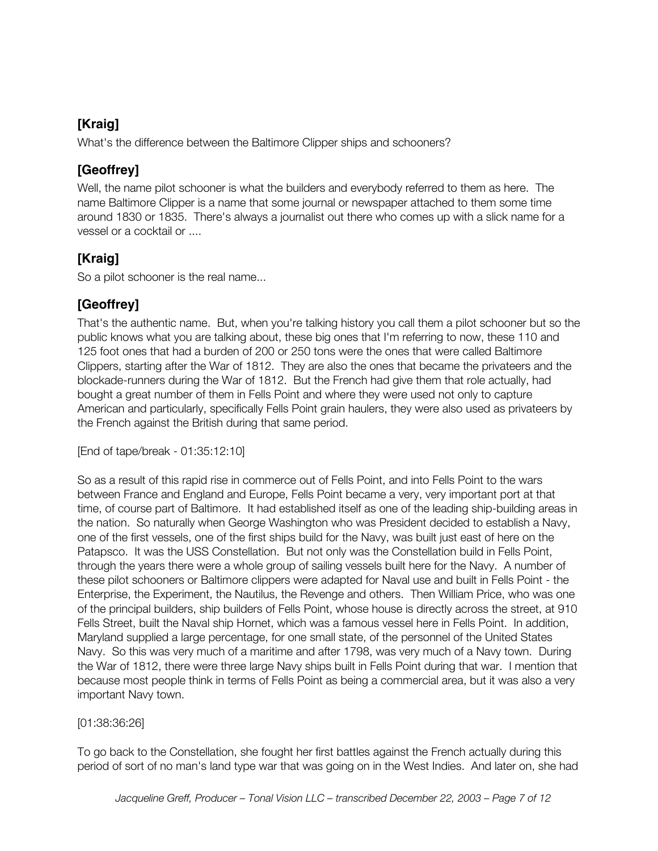#### **[Kraig]**

What's the difference between the Baltimore Clipper ships and schooners?

#### **[Geoffrey]**

Well, the name pilot schooner is what the builders and everybody referred to them as here. The name Baltimore Clipper is a name that some journal or newspaper attached to them some time around 1830 or 1835. There's always a journalist out there who comes up with a slick name for a vessel or a cocktail or ....

## **[Kraig]**

So a pilot schooner is the real name...

#### **[Geoffrey]**

That's the authentic name. But, when you're talking history you call them a pilot schooner but so the public knows what you are talking about, these big ones that I'm referring to now, these 110 and 125 foot ones that had a burden of 200 or 250 tons were the ones that were called Baltimore Clippers, starting after the War of 1812. They are also the ones that became the privateers and the blockade-runners during the War of 1812. But the French had give them that role actually, had bought a great number of them in Fells Point and where they were used not only to capture American and particularly, specifically Fells Point grain haulers, they were also used as privateers by the French against the British during that same period.

[End of tape/break - 01:35:12:10]

So as a result of this rapid rise in commerce out of Fells Point, and into Fells Point to the wars between France and England and Europe, Fells Point became a very, very important port at that time, of course part of Baltimore. It had established itself as one of the leading ship-building areas in the nation. So naturally when George Washington who was President decided to establish a Navy, one of the first vessels, one of the first ships build for the Navy, was built just east of here on the Patapsco. It was the USS Constellation. But not only was the Constellation build in Fells Point, through the years there were a whole group of sailing vessels built here for the Navy. A number of these pilot schooners or Baltimore clippers were adapted for Naval use and built in Fells Point - the Enterprise, the Experiment, the Nautilus, the Revenge and others. Then William Price, who was one of the principal builders, ship builders of Fells Point, whose house is directly across the street, at 910 Fells Street, built the Naval ship Hornet, which was a famous vessel here in Fells Point. In addition, Maryland supplied a large percentage, for one small state, of the personnel of the United States Navy. So this was very much of a maritime and after 1798, was very much of a Navy town. During the War of 1812, there were three large Navy ships built in Fells Point during that war. I mention that because most people think in terms of Fells Point as being a commercial area, but it was also a very important Navy town.

#### [01:38:36:26]

To go back to the Constellation, she fought her first battles against the French actually during this period of sort of no man's land type war that was going on in the West Indies. And later on, she had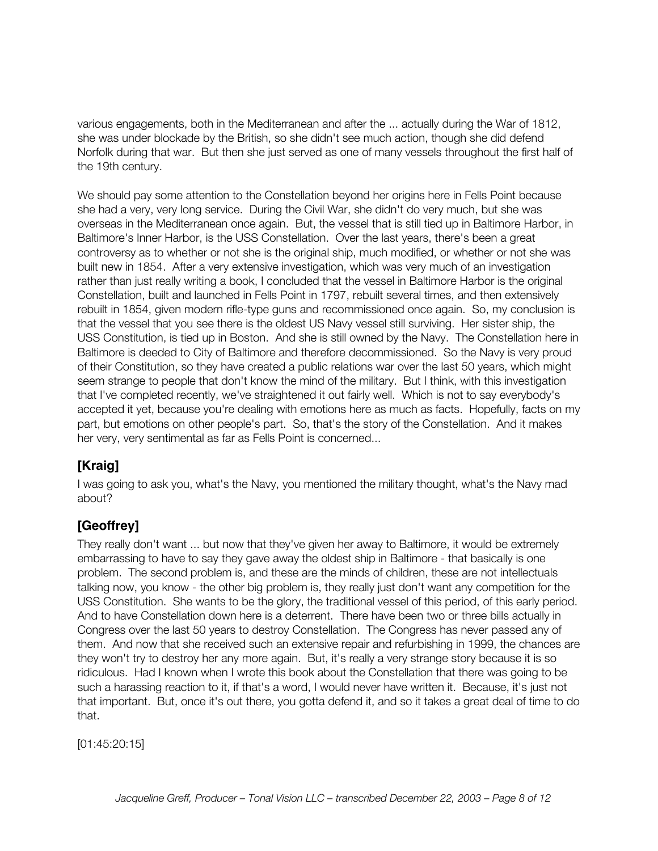various engagements, both in the Mediterranean and after the ... actually during the War of 1812, she was under blockade by the British, so she didn't see much action, though she did defend Norfolk during that war. But then she just served as one of many vessels throughout the first half of the 19th century.

We should pay some attention to the Constellation beyond her origins here in Fells Point because she had a very, very long service. During the Civil War, she didn't do very much, but she was overseas in the Mediterranean once again. But, the vessel that is still tied up in Baltimore Harbor, in Baltimore's Inner Harbor, is the USS Constellation. Over the last years, there's been a great controversy as to whether or not she is the original ship, much modified, or whether or not she was built new in 1854. After a very extensive investigation, which was very much of an investigation rather than just really writing a book, I concluded that the vessel in Baltimore Harbor is the original Constellation, built and launched in Fells Point in 1797, rebuilt several times, and then extensively rebuilt in 1854, given modern rifle-type guns and recommissioned once again. So, my conclusion is that the vessel that you see there is the oldest US Navy vessel still surviving. Her sister ship, the USS Constitution, is tied up in Boston. And she is still owned by the Navy. The Constellation here in Baltimore is deeded to City of Baltimore and therefore decommissioned. So the Navy is very proud of their Constitution, so they have created a public relations war over the last 50 years, which might seem strange to people that don't know the mind of the military. But I think, with this investigation that I've completed recently, we've straightened it out fairly well. Which is not to say everybody's accepted it yet, because you're dealing with emotions here as much as facts. Hopefully, facts on my part, but emotions on other people's part. So, that's the story of the Constellation. And it makes her very, very sentimental as far as Fells Point is concerned...

## **[Kraig]**

I was going to ask you, what's the Navy, you mentioned the military thought, what's the Navy mad about?

#### **[Geoffrey]**

They really don't want ... but now that they've given her away to Baltimore, it would be extremely embarrassing to have to say they gave away the oldest ship in Baltimore - that basically is one problem. The second problem is, and these are the minds of children, these are not intellectuals talking now, you know - the other big problem is, they really just don't want any competition for the USS Constitution. She wants to be the glory, the traditional vessel of this period, of this early period. And to have Constellation down here is a deterrent. There have been two or three bills actually in Congress over the last 50 years to destroy Constellation. The Congress has never passed any of them. And now that she received such an extensive repair and refurbishing in 1999, the chances are they won't try to destroy her any more again. But, it's really a very strange story because it is so ridiculous. Had I known when I wrote this book about the Constellation that there was going to be such a harassing reaction to it, if that's a word, I would never have written it. Because, it's just not that important. But, once it's out there, you gotta defend it, and so it takes a great deal of time to do that.

[01:45:20:15]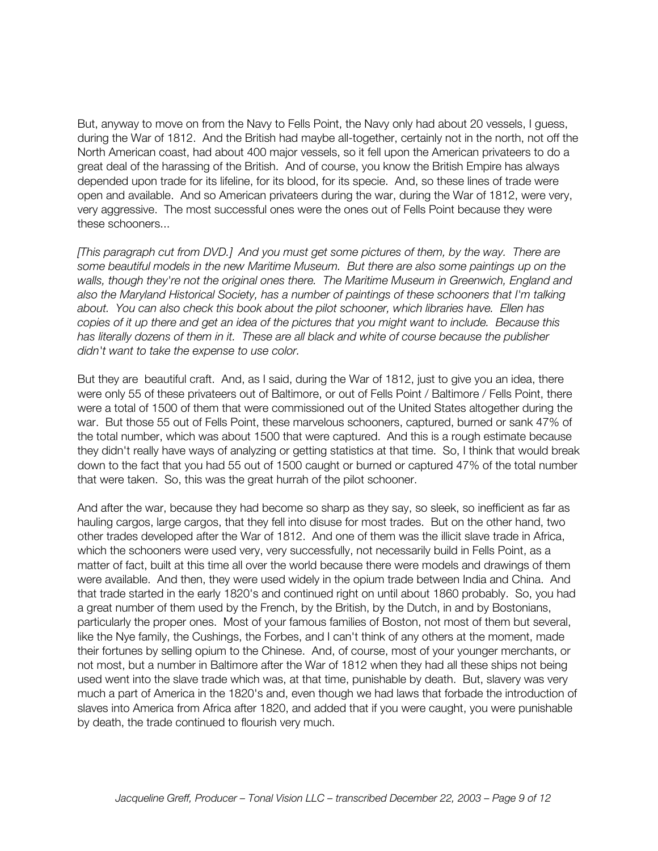But, anyway to move on from the Navy to Fells Point, the Navy only had about 20 vessels, I guess, during the War of 1812. And the British had maybe all-together, certainly not in the north, not off the North American coast, had about 400 major vessels, so it fell upon the American privateers to do a great deal of the harassing of the British. And of course, you know the British Empire has always depended upon trade for its lifeline, for its blood, for its specie. And, so these lines of trade were open and available. And so American privateers during the war, during the War of 1812, were very, very aggressive. The most successful ones were the ones out of Fells Point because they were these schooners...

*[This paragraph cut from DVD.] And you must get some pictures of them, by the way. There are some beautiful models in the new Maritime Museum. But there are also some paintings up on the walls, though they're not the original ones there. The Maritime Museum in Greenwich, England and also the Maryland Historical Society, has a number of paintings of these schooners that I'm talking about. You can also check this book about the pilot schooner, which libraries have. Ellen has copies of it up there and get an idea of the pictures that you might want to include. Because this has literally dozens of them in it. These are all black and white of course because the publisher didn't want to take the expense to use color.*

But they are beautiful craft. And, as I said, during the War of 1812, just to give you an idea, there were only 55 of these privateers out of Baltimore, or out of Fells Point / Baltimore / Fells Point, there were a total of 1500 of them that were commissioned out of the United States altogether during the war. But those 55 out of Fells Point, these marvelous schooners, captured, burned or sank 47% of the total number, which was about 1500 that were captured. And this is a rough estimate because they didn't really have ways of analyzing or getting statistics at that time. So, I think that would break down to the fact that you had 55 out of 1500 caught or burned or captured 47% of the total number that were taken. So, this was the great hurrah of the pilot schooner.

And after the war, because they had become so sharp as they say, so sleek, so inefficient as far as hauling cargos, large cargos, that they fell into disuse for most trades. But on the other hand, two other trades developed after the War of 1812. And one of them was the illicit slave trade in Africa, which the schooners were used very, very successfully, not necessarily build in Fells Point, as a matter of fact, built at this time all over the world because there were models and drawings of them were available. And then, they were used widely in the opium trade between India and China. And that trade started in the early 1820's and continued right on until about 1860 probably. So, you had a great number of them used by the French, by the British, by the Dutch, in and by Bostonians, particularly the proper ones. Most of your famous families of Boston, not most of them but several, like the Nye family, the Cushings, the Forbes, and I can't think of any others at the moment, made their fortunes by selling opium to the Chinese. And, of course, most of your younger merchants, or not most, but a number in Baltimore after the War of 1812 when they had all these ships not being used went into the slave trade which was, at that time, punishable by death. But, slavery was very much a part of America in the 1820's and, even though we had laws that forbade the introduction of slaves into America from Africa after 1820, and added that if you were caught, you were punishable by death, the trade continued to flourish very much.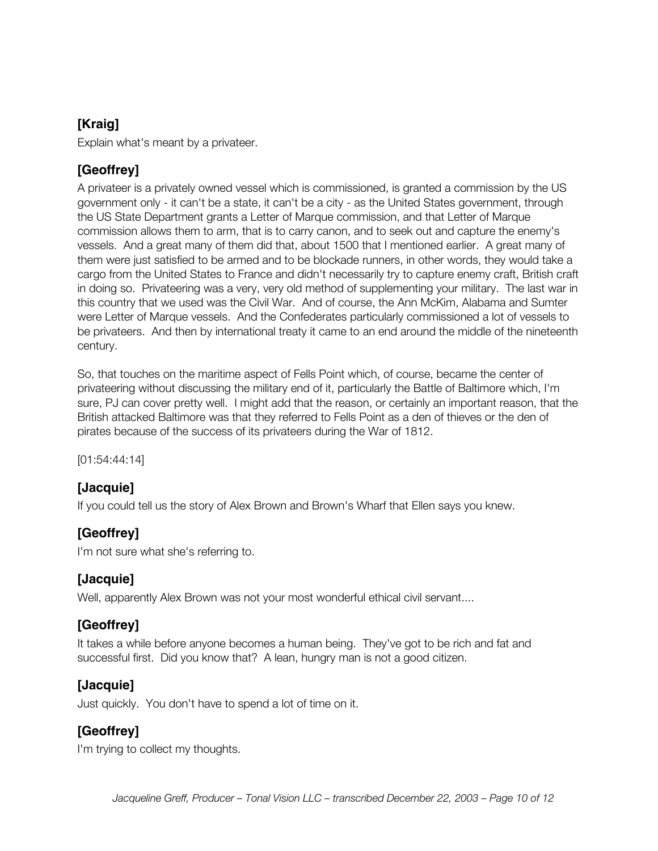#### **[Kraig]**

Explain what's meant by a privateer.

#### **[Geoffrey]**

A privateer is a privately owned vessel which is commissioned, is granted a commission by the US government only - it can't be a state, it can't be a city - as the United States government, through the US State Department grants a Letter of Marque commission, and that Letter of Marque commission allows them to arm, that is to carry canon, and to seek out and capture the enemy's vessels. And a great many of them did that, about 1500 that I mentioned earlier. A great many of them were just satisfied to be armed and to be blockade runners, in other words, they would take a cargo from the United States to France and didn't necessarily try to capture enemy craft, British craft in doing so. Privateering was a very, very old method of supplementing your military. The last war in this country that we used was the Civil War. And of course, the Ann McKim, Alabama and Sumter were Letter of Marque vessels. And the Confederates particularly commissioned a lot of vessels to be privateers. And then by international treaty it came to an end around the middle of the nineteenth century.

So, that touches on the maritime aspect of Fells Point which, of course, became the center of privateering without discussing the military end of it, particularly the Battle of Baltimore which, I'm sure, PJ can cover pretty well. I might add that the reason, or certainly an important reason, that the British attacked Baltimore was that they referred to Fells Point as a den of thieves or the den of pirates because of the success of its privateers during the War of 1812.

[01:54:44:14]

#### **[Jacquie]**

If you could tell us the story of Alex Brown and Brown's Wharf that Ellen says you knew.

#### **[Geoffrey]**

I'm not sure what she's referring to.

#### **[Jacquie]**

Well, apparently Alex Brown was not your most wonderful ethical civil servant....

#### **[Geoffrey]**

It takes a while before anyone becomes a human being. They've got to be rich and fat and successful first. Did you know that? A lean, hungry man is not a good citizen.

#### **[Jacquie]**

Just quickly. You don't have to spend a lot of time on it.

#### **[Geoffrey]**

I'm trying to collect my thoughts.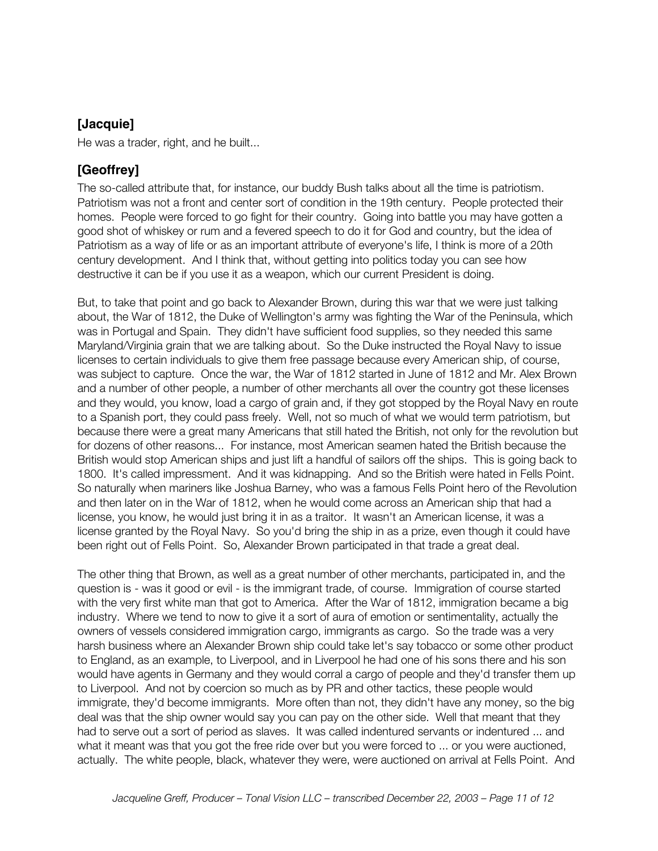#### **[Jacquie]**

He was a trader, right, and he built...

#### **[Geoffrey]**

The so-called attribute that, for instance, our buddy Bush talks about all the time is patriotism. Patriotism was not a front and center sort of condition in the 19th century. People protected their homes. People were forced to go fight for their country. Going into battle you may have gotten a good shot of whiskey or rum and a fevered speech to do it for God and country, but the idea of Patriotism as a way of life or as an important attribute of everyone's life, I think is more of a 20th century development. And I think that, without getting into politics today you can see how destructive it can be if you use it as a weapon, which our current President is doing.

But, to take that point and go back to Alexander Brown, during this war that we were just talking about, the War of 1812, the Duke of Wellington's army was fighting the War of the Peninsula, which was in Portugal and Spain. They didn't have sufficient food supplies, so they needed this same Maryland/Virginia grain that we are talking about. So the Duke instructed the Royal Navy to issue licenses to certain individuals to give them free passage because every American ship, of course, was subject to capture. Once the war, the War of 1812 started in June of 1812 and Mr. Alex Brown and a number of other people, a number of other merchants all over the country got these licenses and they would, you know, load a cargo of grain and, if they got stopped by the Royal Navy en route to a Spanish port, they could pass freely. Well, not so much of what we would term patriotism, but because there were a great many Americans that still hated the British, not only for the revolution but for dozens of other reasons... For instance, most American seamen hated the British because the British would stop American ships and just lift a handful of sailors off the ships. This is going back to 1800. It's called impressment. And it was kidnapping. And so the British were hated in Fells Point. So naturally when mariners like Joshua Barney, who was a famous Fells Point hero of the Revolution and then later on in the War of 1812, when he would come across an American ship that had a license, you know, he would just bring it in as a traitor. It wasn't an American license, it was a license granted by the Royal Navy. So you'd bring the ship in as a prize, even though it could have been right out of Fells Point. So, Alexander Brown participated in that trade a great deal.

The other thing that Brown, as well as a great number of other merchants, participated in, and the question is - was it good or evil - is the immigrant trade, of course. Immigration of course started with the very first white man that got to America. After the War of 1812, immigration became a big industry. Where we tend to now to give it a sort of aura of emotion or sentimentality, actually the owners of vessels considered immigration cargo, immigrants as cargo. So the trade was a very harsh business where an Alexander Brown ship could take let's say tobacco or some other product to England, as an example, to Liverpool, and in Liverpool he had one of his sons there and his son would have agents in Germany and they would corral a cargo of people and they'd transfer them up to Liverpool. And not by coercion so much as by PR and other tactics, these people would immigrate, they'd become immigrants. More often than not, they didn't have any money, so the big deal was that the ship owner would say you can pay on the other side. Well that meant that they had to serve out a sort of period as slaves. It was called indentured servants or indentured ... and what it meant was that you got the free ride over but you were forced to ... or you were auctioned, actually. The white people, black, whatever they were, were auctioned on arrival at Fells Point. And